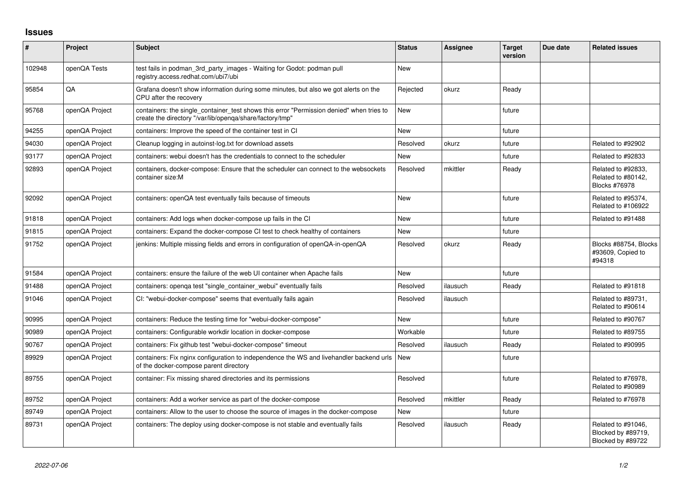## **Issues**

| $\pmb{\#}$ | <b>Project</b> | <b>Subject</b>                                                                                                                                       | <b>Status</b> | Assignee | <b>Target</b><br>version | Due date | <b>Related issues</b>                                         |
|------------|----------------|------------------------------------------------------------------------------------------------------------------------------------------------------|---------------|----------|--------------------------|----------|---------------------------------------------------------------|
| 102948     | openQA Tests   | test fails in podman_3rd_party_images - Waiting for Godot: podman pull<br>registry.access.redhat.com/ubi7/ubi                                        | <b>New</b>    |          |                          |          |                                                               |
| 95854      | QA             | Grafana doesn't show information during some minutes, but also we got alerts on the<br>CPU after the recovery                                        | Rejected      | okurz    | Ready                    |          |                                                               |
| 95768      | openQA Project | containers: the single_container_test shows this error "Permission denied" when tries to<br>create the directory "/var/lib/openqa/share/factory/tmp" | <b>New</b>    |          | future                   |          |                                                               |
| 94255      | openQA Project | containers: Improve the speed of the container test in CI                                                                                            | <b>New</b>    |          | future                   |          |                                                               |
| 94030      | openQA Project | Cleanup logging in autoinst-log txt for download assets                                                                                              | Resolved      | okurz    | future                   |          | Related to #92902                                             |
| 93177      | openQA Project | containers: webui doesn't has the credentials to connect to the scheduler                                                                            | <b>New</b>    |          | future                   |          | Related to #92833                                             |
| 92893      | openQA Project | containers, docker-compose: Ensure that the scheduler can connect to the websockets<br>container size:M                                              | Resolved      | mkittler | Ready                    |          | Related to #92833,<br>Related to #80142,<br>Blocks #76978     |
| 92092      | openQA Project | containers: openQA test eventually fails because of timeouts                                                                                         | <b>New</b>    |          | future                   |          | Related to #95374,<br>Related to #106922                      |
| 91818      | openQA Project | containers: Add logs when docker-compose up fails in the CI                                                                                          | <b>New</b>    |          | future                   |          | Related to #91488                                             |
| 91815      | openQA Project | containers: Expand the docker-compose CI test to check healthy of containers                                                                         | <b>New</b>    |          | future                   |          |                                                               |
| 91752      | openQA Project | jenkins: Multiple missing fields and errors in configuration of openQA-in-openQA                                                                     | Resolved      | okurz    | Ready                    |          | Blocks #88754, Blocks<br>#93609, Copied to<br>#94318          |
| 91584      | openQA Project | containers: ensure the failure of the web UI container when Apache fails                                                                             | <b>New</b>    |          | future                   |          |                                                               |
| 91488      | openQA Project | containers: openga test "single container webui" eventually fails                                                                                    | Resolved      | ilausuch | Ready                    |          | Related to #91818                                             |
| 91046      | openQA Project | CI: "webui-docker-compose" seems that eventually fails again                                                                                         | Resolved      | ilausuch |                          |          | Related to #89731,<br>Related to #90614                       |
| 90995      | openQA Project | containers: Reduce the testing time for "webui-docker-compose"                                                                                       | <b>New</b>    |          | future                   |          | Related to #90767                                             |
| 90989      | openQA Project | containers: Configurable workdir location in docker-compose                                                                                          | Workable      |          | future                   |          | Related to #89755                                             |
| 90767      | openQA Project | containers: Fix github test "webui-docker-compose" timeout                                                                                           | Resolved      | ilausuch | Ready                    |          | Related to #90995                                             |
| 89929      | openQA Project | containers: Fix nginx configuration to independence the WS and livehandler backend urls<br>of the docker-compose parent directory                    | New           |          | future                   |          |                                                               |
| 89755      | openQA Project | container: Fix missing shared directories and its permissions                                                                                        | Resolved      |          | future                   |          | Related to #76978.<br>Related to #90989                       |
| 89752      | openQA Project | containers: Add a worker service as part of the docker-compose                                                                                       | Resolved      | mkittler | Ready                    |          | Related to #76978                                             |
| 89749      | openQA Project | containers: Allow to the user to choose the source of images in the docker-compose                                                                   | <b>New</b>    |          | future                   |          |                                                               |
| 89731      | openQA Project | containers: The deploy using docker-compose is not stable and eventually fails                                                                       | Resolved      | ilausuch | Ready                    |          | Related to #91046,<br>Blocked by #89719,<br>Blocked by #89722 |